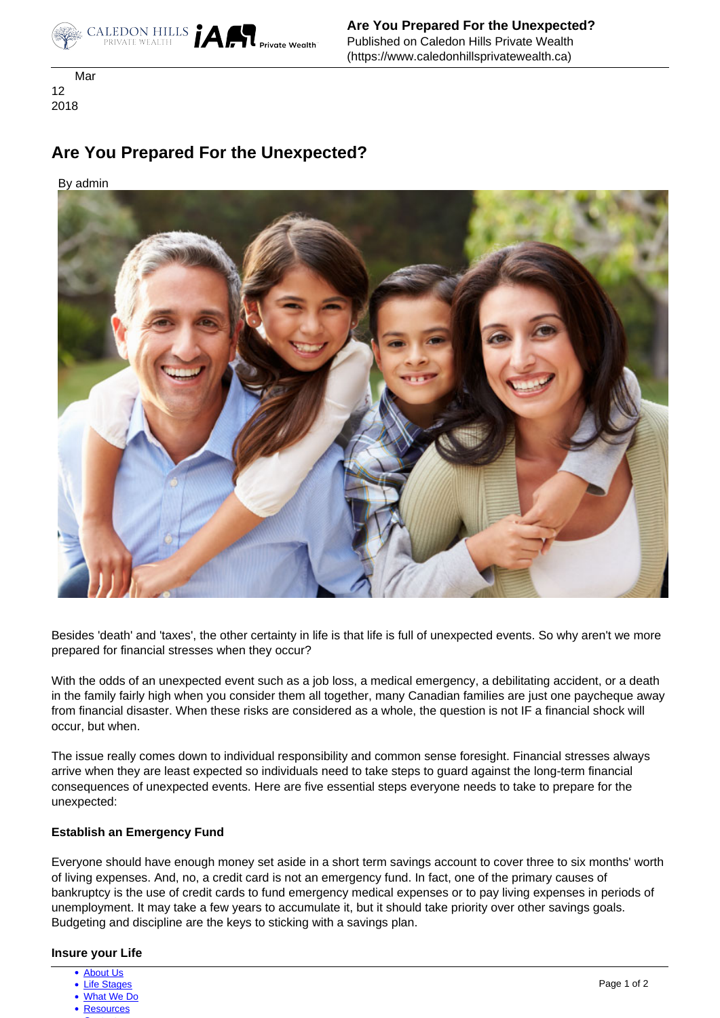

 Mar 12 2018

# **Are You Prepared For the Unexpected?**

By admin



Besides 'death' and 'taxes', the other certainty in life is that life is full of unexpected events. So why aren't we more prepared for financial stresses when they occur?

With the odds of an unexpected event such as a job loss, a medical emergency, a debilitating accident, or a death in the family fairly high when you consider them all together, many Canadian families are just one paycheque away from financial disaster. When these risks are considered as a whole, the question is not IF a financial shock will occur, but when.

 consequences of unexpected events. Here are five essential steps everyone needs to take to prepare for the The issue really comes down to individual responsibility and common sense foresight. Financial stresses always arrive when they are least expected so individuals need to take steps to guard against the long-term financial unexpected:

## **Establish an Emergency Fund**

Everyone should have enough money set aside in a short term savings account to cover three to six months' worth of living expenses. And, no, a credit card is not an emergency fund. In fact, one of the primary causes of bankruptcy is the use of credit cards to fund emergency medical expenses or to pay living expenses in periods of unemployment. It may take a few years to accumulate it, but it should take priority over other savings goals. Budgeting and discipline are the keys to sticking with a savings plan.

## **Insure your Life**

- [About Us](https://www.caledonhillsprivatewealth.ca/about-us)
- [Life Stages](https://www.caledonhillsprivatewealth.ca/life-stages)
- [What We Do](https://www.caledonhillsprivatewealth.ca/what-we-do)
- [Resources](https://www.caledonhillsprivatewealth.ca/resources)  $\sim$  [Contact](https://www.caledonhillsprivatewealth.ca/contact-us)  $\sim$